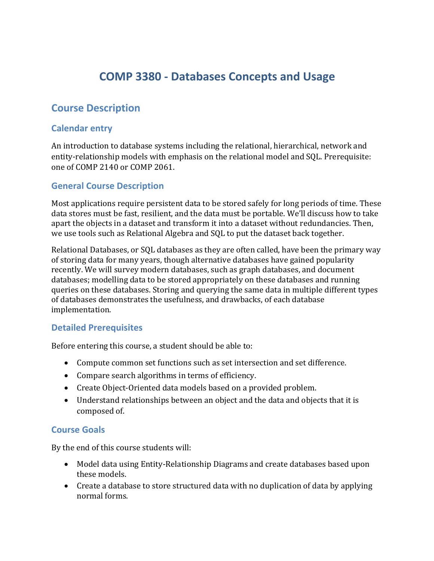# **COMP 3380 - Databases Concepts and Usage**

## **Course Description**

### **Calendar entry**

An introduction to database systems including the relational, hierarchical, network and entity-relationship models with emphasis on the relational model and SQL. Prerequisite: one of COMP 2140 or COMP 2061.

### **General Course Description**

Most applications require persistent data to be stored safely for long periods of time. These data stores must be fast, resilient, and the data must be portable. We'll discuss how to take apart the objects in a dataset and transform it into a dataset without redundancies. Then, we use tools such as Relational Algebra and SQL to put the dataset back together.

Relational Databases, or SQL databases as they are often called, have been the primary way of storing data for many years, though alternative databases have gained popularity recently. We will survey modern databases, such as graph databases, and document databases; modelling data to be stored appropriately on these databases and running queries on these databases. Storing and querying the same data in multiple different types of databases demonstrates the usefulness, and drawbacks, of each database implementation.

#### **Detailed Prerequisites**

Before entering this course, a student should be able to:

- Compute common set functions such as set intersection and set difference.
- Compare search algorithms in terms of efficiency.
- Create Object-Oriented data models based on a provided problem.
- Understand relationships between an object and the data and objects that it is composed of.

#### **Course Goals**

By the end of this course students will:

- Model data using Entity-Relationship Diagrams and create databases based upon these models.
- Create a database to store structured data with no duplication of data by applying normal forms.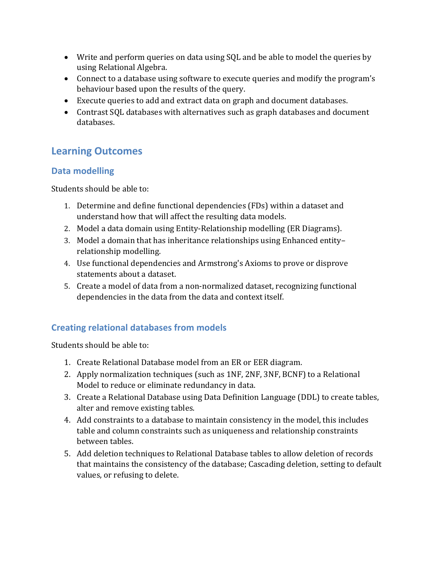- Write and perform queries on data using SQL and be able to model the queries by using Relational Algebra.
- Connect to a database using software to execute queries and modify the program's behaviour based upon the results of the query.
- Execute queries to add and extract data on graph and document databases.
- Contrast SQL databases with alternatives such as graph databases and document databases.

## **Learning Outcomes**

### **Data modelling**

Students should be able to:

- 1. Determine and define functional dependencies (FDs) within a dataset and understand how that will affect the resulting data models.
- 2. Model a data domain using Entity-Relationship modelling (ER Diagrams).
- 3. Model a domain that has inheritance relationships using Enhanced entityrelationship modelling.
- 4. Use functional dependencies and Armstrong's Axioms to prove or disprove statements about a dataset.
- 5. Create a model of data from a non-normalized dataset, recognizing functional dependencies in the data from the data and context itself.

## **Creating relational databases from models**

Students should be able to:

- 1. Create Relational Database model from an ER or EER diagram.
- 2. Apply normalization techniques (such as 1NF, 2NF, 3NF, BCNF) to a Relational Model to reduce or eliminate redundancy in data.
- 3. Create a Relational Database using Data Definition Language (DDL) to create tables, alter and remove existing tables.
- 4. Add constraints to a database to maintain consistency in the model, this includes table and column constraints such as uniqueness and relationship constraints between tables.
- 5. Add deletion techniques to Relational Database tables to allow deletion of records that maintains the consistency of the database; Cascading deletion, setting to default values, or refusing to delete.